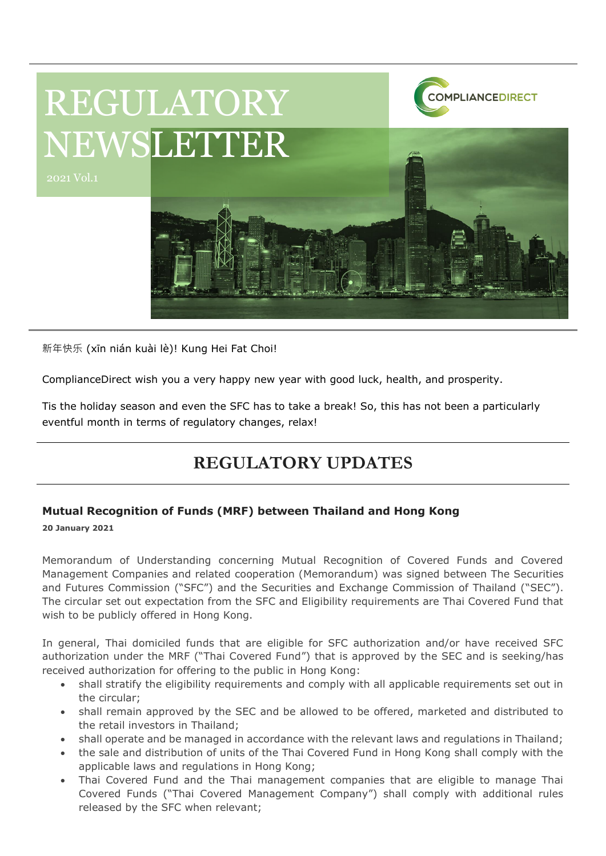

新年快乐 (xīn nián kuài lè)! Kung Hei Fat Choi!

ComplianceDirect wish you a very happy new year with good luck, health, and prosperity.

Tis the holiday season and even the SFC has to take a break! So, this has not been a particularly eventful month in terms of regulatory changes, relax!

# **REGULATORY UPDATES**

# **Mutual Recognition of Funds (MRF) between Thailand and Hong Kong**

**20 January 2021**

Memorandum of Understanding concerning Mutual Recognition of Covered Funds and Covered Management Companies and related cooperation (Memorandum) was signed between The Securities and Futures Commission ("SFC") and the Securities and Exchange Commission of Thailand ("SEC"). The circular set out expectation from the SFC and Eligibility requirements are Thai Covered Fund that wish to be publicly offered in Hong Kong.

In general, Thai domiciled funds that are eligible for SFC authorization and/or have received SFC authorization under the MRF ("Thai Covered Fund") that is approved by the SEC and is seeking/has received authorization for offering to the public in Hong Kong:

- shall stratify the eligibility requirements and comply with all applicable requirements set out in the circular;
- shall remain approved by the SEC and be allowed to be offered, marketed and distributed to the retail investors in Thailand;
- shall operate and be managed in accordance with the relevant laws and regulations in Thailand;
- the sale and distribution of units of the Thai Covered Fund in Hong Kong shall comply with the applicable laws and regulations in Hong Kong;
- Thai Covered Fund and the Thai management companies that are eligible to manage Thai Covered Funds ("Thai Covered Management Company") shall comply with additional rules released by the SFC when relevant;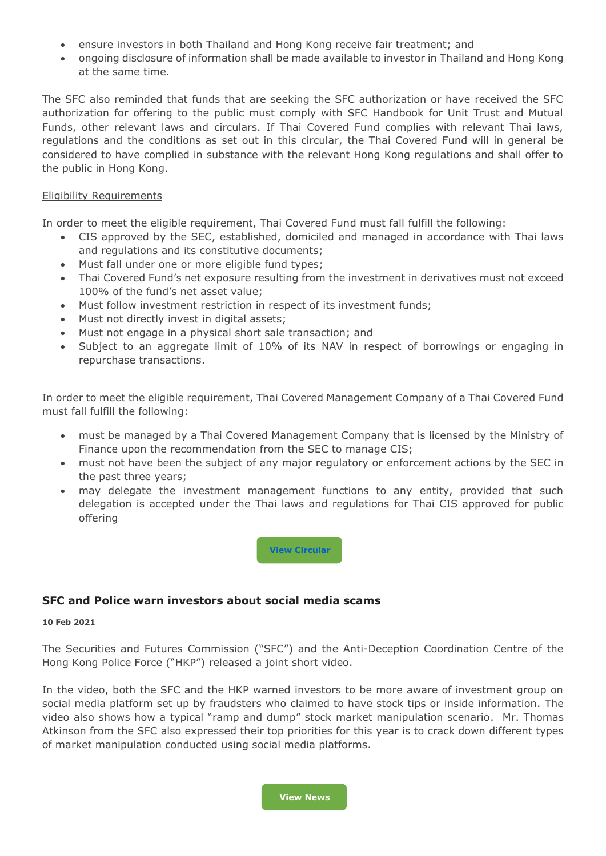- ensure investors in both Thailand and Hong Kong receive fair treatment; and
- ongoing disclosure of information shall be made available to investor in Thailand and Hong Kong at the same time.

The SFC also reminded that funds that are seeking the SFC authorization or have received the SFC authorization for offering to the public must comply with SFC Handbook for Unit Trust and Mutual Funds, other relevant laws and circulars. If Thai Covered Fund complies with relevant Thai laws, regulations and the conditions as set out in this circular, the Thai Covered Fund will in general be considered to have complied in substance with the relevant Hong Kong regulations and shall offer to the public in Hong Kong.

#### Eligibility Requirements

In order to meet the eligible requirement, Thai Covered Fund must fall fulfill the following:

- CIS approved by the SEC, established, domiciled and managed in accordance with Thai laws and regulations and its constitutive documents;
- Must fall under one or more eligible fund types;
- Thai Covered Fund's net exposure resulting from the investment in derivatives must not exceed 100% of the fund's net asset value;
- Must follow investment restriction in respect of its investment funds;
- Must not directly invest in digital assets;
- Must not engage in a physical short sale transaction; and
- Subject to an aggregate limit of 10% of its NAV in respect of borrowings or engaging in repurchase transactions.

In order to meet the eligible requirement, Thai Covered Management Company of a Thai Covered Fund must fall fulfill the following:

- must be managed by a Thai Covered Management Company that is licensed by the Ministry of Finance upon the recommendation from the SEC to manage CIS;
- must not have been the subject of any major regulatory or enforcement actions by the SEC in the past three years;
- may delegate the investment management functions to any entity, provided that such delegation is accepted under the Thai laws and regulations for Thai CIS approved for public offering

**[View](https://apps.sfc.hk/edistributionWeb/gateway/EN/circular/doc?refNo=21EC1) Circula [C](https://apps.sfc.hk/edistributionWeb/gateway/EN/circular/doc?refNo=21EC1)[https://ww](https://www.sfc.hk/edistributionWeb/gateway/EN/circular/intermediaries/supervision/doc?refNo=20EC26)**

#### **SFC and Police warn investors about [social media](https://www.sfc.hk/edistributionWeb/gateway/EN/circular/intermediaries/supervision/doc?refNo=20EC26) scams**

#### **10 Feb 2021**

The Securities and Futures Commission ("SFC") and the Anti-Deception Coordination Centre of the Hong Kong Police Force ("HKP") released a joint short video.

In the video, both the SFC and the HKP warned investors to be more aware of investment group on social media platform set up by fraudsters who claimed to have stock tips or inside information. The video also shows how a typical "ramp and dump" stock market manipulation scenario. Mr. Thomas Atkinson from the SFC also expressed their top priorities for this year is to crack down different types of market manipulation conducted using social media platforms.